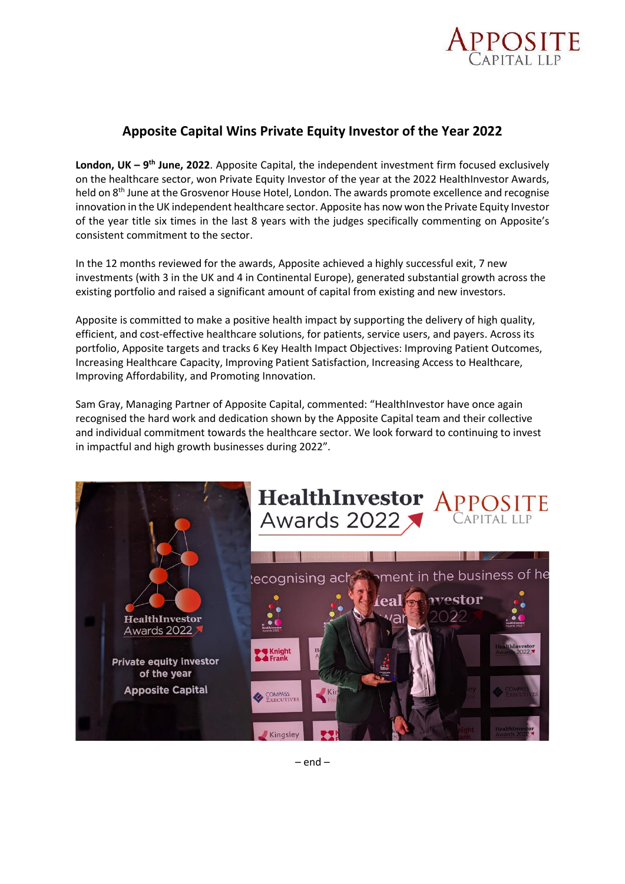

## **Apposite Capital Wins Private Equity Investor of the Year 2022**

**London, UK – 9<sup>th</sup> June, 2022**. Apposite Capital, the independent investment firm focused exclusively on the healthcare sector, won Private Equity Investor of the year at the 2022 HealthInvestor Awards, held on 8<sup>th</sup> June at the Grosvenor House Hotel, London. The awards promote excellence and recognise innovation in the UK independent healthcare sector. Apposite has now won the Private Equity Investor of the year title six times in the last 8 years with the judges specifically commenting on Apposite's consistent commitment to the sector.

In the 12 months reviewed for the awards, Apposite achieved a highly successful exit, 7 new investments (with 3 in the UK and 4 in Continental Europe), generated substantial growth across the existing portfolio and raised a significant amount of capital from existing and new investors.

Apposite is committed to make a positive health impact by supporting the delivery of high quality, efficient, and cost-effective healthcare solutions, for patients, service users, and payers. Across its portfolio, Apposite targets and tracks 6 Key Health Impact Objectives: Improving Patient Outcomes, Increasing Healthcare Capacity, Improving Patient Satisfaction, Increasing Access to Healthcare, Improving Affordability, and Promoting Innovation.

Sam Gray, Managing Partner of Apposite Capital, commented: "HealthInvestor have once again recognised the hard work and dedication shown by the Apposite Capital team and their collective and individual commitment towards the healthcare sector. We look forward to continuing to invest in impactful and high growth businesses during 2022".